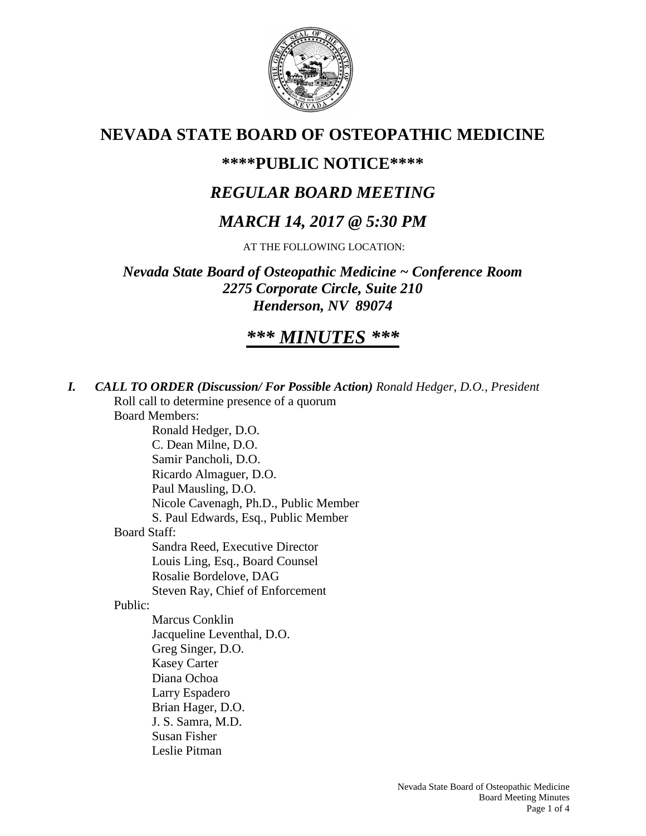

# **NEVADA STATE BOARD OF OSTEOPATHIC MEDICINE**

## **\*\*\*\*PUBLIC NOTICE\*\*\*\***

# *REGULAR BOARD MEETING*

# *MARCH 14, 2017 @ 5:30 PM*

AT THE FOLLOWING LOCATION:

*Nevada State Board of Osteopathic Medicine ~ Conference Room 2275 Corporate Circle, Suite 210 Henderson, NV 89074*

# *\*\*\* MINUTES \*\*\**

*I. CALL TO ORDER (Discussion/ For Possible Action) Ronald Hedger, D.O., President* Roll call to determine presence of a quorum Board Members: Ronald Hedger, D.O. C. Dean Milne, D.O. Samir Pancholi, D.O. Ricardo Almaguer, D.O. Paul Mausling, D.O. Nicole Cavenagh, Ph.D., Public Member S. Paul Edwards, Esq., Public Member Board Staff: Sandra Reed, Executive Director Louis Ling, Esq., Board Counsel Rosalie Bordelove, DAG Steven Ray, Chief of Enforcement Public: Marcus Conklin Jacqueline Leventhal, D.O. Greg Singer, D.O. Kasey Carter Diana Ochoa Larry Espadero Brian Hager, D.O. J. S. Samra, M.D. Susan Fisher Leslie Pitman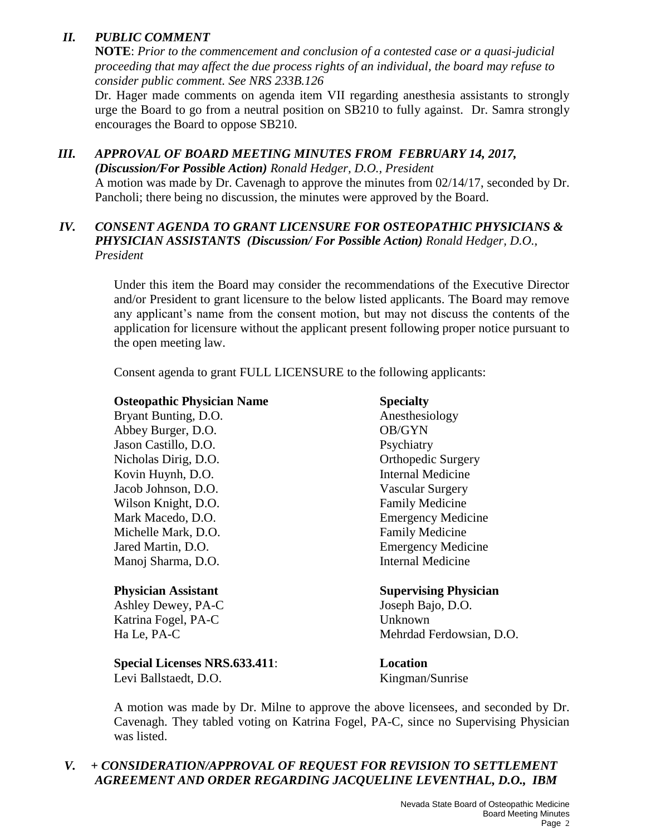## *II. PUBLIC COMMENT*

**NOTE**: *Prior to the commencement and conclusion of a contested case or a quasi-judicial proceeding that may affect the due process rights of an individual, the board may refuse to consider public comment. See NRS 233B.126*

Dr. Hager made comments on agenda item VII regarding anesthesia assistants to strongly urge the Board to go from a neutral position on SB210 to fully against. Dr. Samra strongly encourages the Board to oppose SB210.

#### *III. APPROVAL OF BOARD MEETING MINUTES FROM FEBRUARY 14, 2017, (Discussion/For Possible Action) Ronald Hedger, D.O., President* A motion was made by Dr. Cavenagh to approve the minutes from 02/14/17, seconded by Dr. Pancholi; there being no discussion, the minutes were approved by the Board.

## *IV. CONSENT AGENDA TO GRANT LICENSURE FOR OSTEOPATHIC PHYSICIANS & PHYSICIAN ASSISTANTS (Discussion/ For Possible Action) Ronald Hedger, D.O., President*

Under this item the Board may consider the recommendations of the Executive Director and/or President to grant licensure to the below listed applicants. The Board may remove any applicant's name from the consent motion, but may not discuss the contents of the application for licensure without the applicant present following proper notice pursuant to the open meeting law.

Consent agenda to grant FULL LICENSURE to the following applicants:

## **Osteopathic Physician Name Specialty**

| Bryant Bunting, D.O. |
|----------------------|
| Abbey Burger, D.O.   |
| Jason Castillo, D.O. |
| Nicholas Dirig, D.O. |
| Kovin Huynh, D.O.    |
| Jacob Johnson, D.O.  |
| Wilson Knight, D.O.  |
| Mark Macedo, D.O.    |
| Michelle Mark, D.O.  |
| Jared Martin, D.O.   |
| Manoj Sharma, D.O.   |

Ashley Dewey, PA-C Joseph Bajo, D.O. Katrina Fogel, PA-C Unknown

**Special Licenses NRS.633.411**: **Location** Levi Ballstaedt, D.O. Kingman/Sunrise

## Anesthesiology OB/GYN Psychiatry Orthopedic Surgery Internal Medicine Vascular Surgery Family Medicine **Emergency Medicine** Family Medicine **Emergency Medicine** Internal Medicine

#### **Physician Assistant Supervising Physician**

Ha Le, PA-C Mehrdad Ferdowsian, D.O.

A motion was made by Dr. Milne to approve the above licensees, and seconded by Dr. Cavenagh. They tabled voting on Katrina Fogel, PA-C, since no Supervising Physician was listed.

## *V. + CONSIDERATION/APPROVAL OF REQUEST FOR REVISION TO SETTLEMENT AGREEMENT AND ORDER REGARDING JACQUELINE LEVENTHAL, D.O., IBM*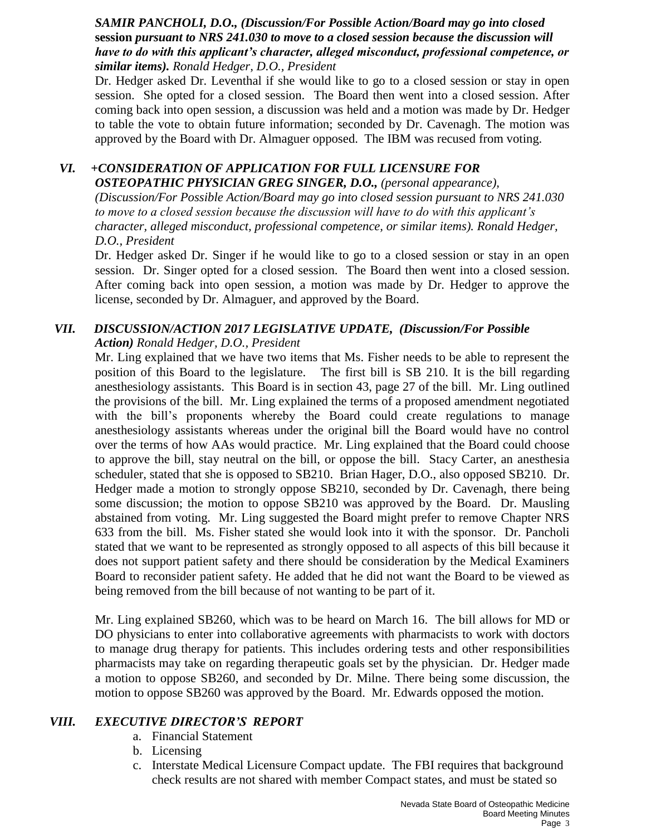#### *SAMIR PANCHOLI, D.O., (Discussion/For Possible Action/Board may go into closed*  **session** *pursuant to NRS 241.030 to move to a closed session because the discussion will have to do with this applicant's character, alleged misconduct, professional competence, or similar items). Ronald Hedger, D.O., President*

Dr. Hedger asked Dr. Leventhal if she would like to go to a closed session or stay in open session. She opted for a closed session. The Board then went into a closed session. After coming back into open session, a discussion was held and a motion was made by Dr. Hedger to table the vote to obtain future information; seconded by Dr. Cavenagh. The motion was approved by the Board with Dr. Almaguer opposed. The IBM was recused from voting.

#### *VI. +CONSIDERATION OF APPLICATION FOR FULL LICENSURE FOR OSTEOPATHIC PHYSICIAN GREG SINGER, D.O., (personal appearance),*

*(Discussion/For Possible Action/Board may go into closed session pursuant to NRS 241.030 to move to a closed session because the discussion will have to do with this applicant's character, alleged misconduct, professional competence, or similar items). Ronald Hedger, D.O., President*

Dr. Hedger asked Dr. Singer if he would like to go to a closed session or stay in an open session. Dr. Singer opted for a closed session. The Board then went into a closed session. After coming back into open session, a motion was made by Dr. Hedger to approve the license, seconded by Dr. Almaguer, and approved by the Board.

## *VII. DISCUSSION/ACTION 2017 LEGISLATIVE UPDATE, (Discussion/For Possible Action) Ronald Hedger, D.O., President*

Mr. Ling explained that we have two items that Ms. Fisher needs to be able to represent the position of this Board to the legislature. The first bill is SB 210. It is the bill regarding anesthesiology assistants. This Board is in section 43, page 27 of the bill. Mr. Ling outlined the provisions of the bill. Mr. Ling explained the terms of a proposed amendment negotiated with the bill's proponents whereby the Board could create regulations to manage anesthesiology assistants whereas under the original bill the Board would have no control over the terms of how AAs would practice. Mr. Ling explained that the Board could choose to approve the bill, stay neutral on the bill, or oppose the bill. Stacy Carter, an anesthesia scheduler, stated that she is opposed to SB210. Brian Hager, D.O., also opposed SB210. Dr. Hedger made a motion to strongly oppose SB210, seconded by Dr. Cavenagh, there being some discussion; the motion to oppose SB210 was approved by the Board. Dr. Mausling abstained from voting. Mr. Ling suggested the Board might prefer to remove Chapter NRS 633 from the bill. Ms. Fisher stated she would look into it with the sponsor. Dr. Pancholi stated that we want to be represented as strongly opposed to all aspects of this bill because it does not support patient safety and there should be consideration by the Medical Examiners Board to reconsider patient safety. He added that he did not want the Board to be viewed as being removed from the bill because of not wanting to be part of it.

Mr. Ling explained SB260, which was to be heard on March 16. The bill allows for MD or DO physicians to enter into collaborative agreements with pharmacists to work with doctors to manage drug therapy for patients. This includes ordering tests and other responsibilities pharmacists may take on regarding therapeutic goals set by the physician. Dr. Hedger made a motion to oppose SB260, and seconded by Dr. Milne. There being some discussion, the motion to oppose SB260 was approved by the Board. Mr. Edwards opposed the motion.

## *VIII. EXECUTIVE DIRECTOR'S REPORT*

- a. Financial Statement
- b. Licensing
- c. Interstate Medical Licensure Compact update. The FBI requires that background check results are not shared with member Compact states, and must be stated so